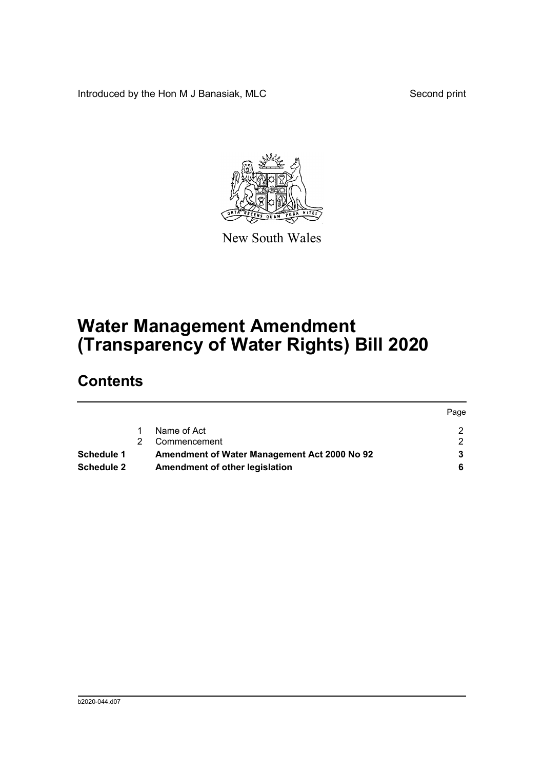Introduced by the Hon M J Banasiak, MLC Second print



New South Wales

## **Water Management Amendment (Transparency of Water Rights) Bill 2020**

### **Contents**

|                   |                                              | Page |
|-------------------|----------------------------------------------|------|
|                   | Name of Act                                  |      |
|                   | Commencement                                 |      |
| Schedule 1        | Amendment of Water Management Act 2000 No 92 |      |
| <b>Schedule 2</b> | Amendment of other legislation               |      |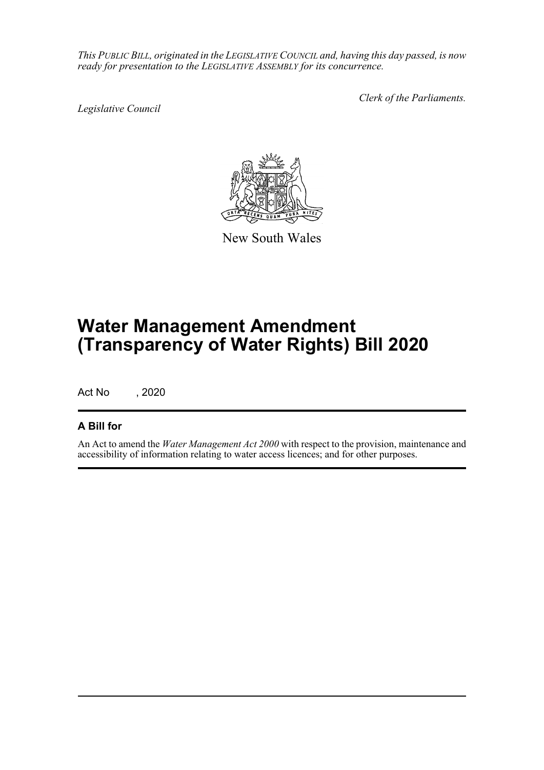*This PUBLIC BILL, originated in the LEGISLATIVE COUNCIL and, having this day passed, is now ready for presentation to the LEGISLATIVE ASSEMBLY for its concurrence.*

*Legislative Council*

*Clerk of the Parliaments.*



New South Wales

# **Water Management Amendment (Transparency of Water Rights) Bill 2020**

Act No , 2020

### **A Bill for**

An Act to amend the *Water Management Act 2000* with respect to the provision, maintenance and accessibility of information relating to water access licences; and for other purposes.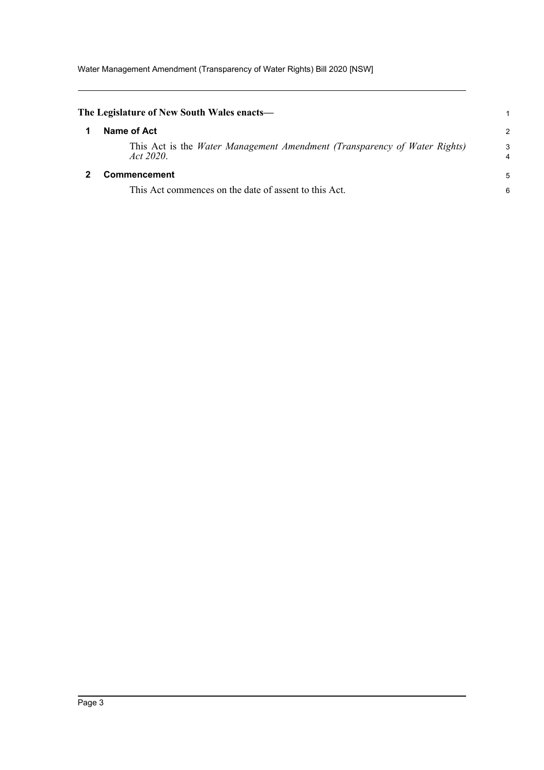Water Management Amendment (Transparency of Water Rights) Bill 2020 [NSW]

<span id="page-2-1"></span><span id="page-2-0"></span>

| The Legislature of New South Wales enacts—                                             |        |
|----------------------------------------------------------------------------------------|--------|
| Name of Act                                                                            | 2      |
| This Act is the Water Management Amendment (Transparency of Water Rights)<br>Act 2020. | 3<br>4 |
| <b>Commencement</b>                                                                    | 5      |
| This Act commences on the date of assent to this Act.                                  | 6      |
|                                                                                        |        |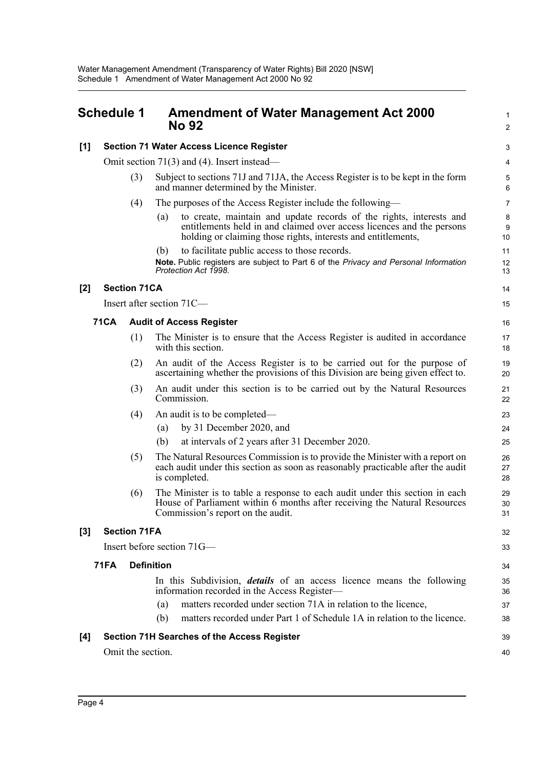#### <span id="page-3-0"></span>**Schedule 1 Amendment of Water Management Act 2000 No 92 [1] Section 71 Water Access Licence Register** Omit section 71(3) and (4). Insert instead— (3) Subject to sections 71J and 71JA, the Access Register is to be kept in the form and manner determined by the Minister. (4) The purposes of the Access Register include the following— (a) to create, maintain and update records of the rights, interests and entitlements held in and claimed over access licences and the persons holding or claiming those rights, interests and entitlements, (b) to facilitate public access to those records. **Note.** Public registers are subject to Part 6 of the *Privacy and Personal Information Protection Act 1998*. **[2] Section 71CA** Insert after section 71C— **71CA Audit of Access Register** (1) The Minister is to ensure that the Access Register is audited in accordance with this section. (2) An audit of the Access Register is to be carried out for the purpose of ascertaining whether the provisions of this Division are being given effect to. (3) An audit under this section is to be carried out by the Natural Resources Commission. (4) An audit is to be completed— (a) by 31 December 2020, and (b) at intervals of 2 years after 31 December 2020. (5) The Natural Resources Commission is to provide the Minister with a report on each audit under this section as soon as reasonably practicable after the audit is completed. (6) The Minister is to table a response to each audit under this section in each House of Parliament within 6 months after receiving the Natural Resources Commission's report on the audit. **[3] Section 71FA** Insert before section 71G— **71FA Definition** In this Subdivision, *details* of an access licence means the following information recorded in the Access Register— (a) matters recorded under section 71A in relation to the licence, (b) matters recorded under Part 1 of Schedule 1A in relation to the licence. 1  $\mathcal{L}$ 3 4 5 6 7 8 9 10 11 12 13  $14$ 15 16 17 18 19 20 21 22 23 24 25 26  $27$ 28 29 30 31 32 33 34 35 36 37 38

39 40

#### **[4] Section 71H Searches of the Access Register**

Omit the section.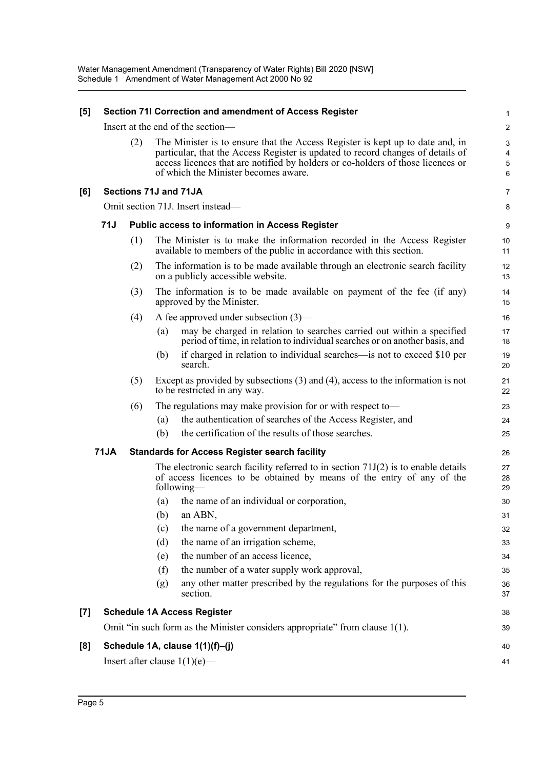| [5]                                                                       | Section 71I Correction and amendment of Access Register |     |     | 1                                                                                                                                                                                                                                                                                           |                               |
|---------------------------------------------------------------------------|---------------------------------------------------------|-----|-----|---------------------------------------------------------------------------------------------------------------------------------------------------------------------------------------------------------------------------------------------------------------------------------------------|-------------------------------|
|                                                                           | Insert at the end of the section-                       |     |     |                                                                                                                                                                                                                                                                                             | $\overline{c}$                |
|                                                                           |                                                         | (2) |     | The Minister is to ensure that the Access Register is kept up to date and, in<br>particular, that the Access Register is updated to record changes of details of<br>access licences that are notified by holders or co-holders of those licences or<br>of which the Minister becomes aware. | 3<br>$\overline{4}$<br>5<br>6 |
| [6]                                                                       |                                                         |     |     | Sections 71J and 71JA                                                                                                                                                                                                                                                                       | $\overline{7}$                |
|                                                                           |                                                         |     |     | Omit section 71J. Insert instead-                                                                                                                                                                                                                                                           | 8                             |
|                                                                           | 71J                                                     |     |     | Public access to information in Access Register                                                                                                                                                                                                                                             | 9                             |
|                                                                           |                                                         | (1) |     | The Minister is to make the information recorded in the Access Register<br>available to members of the public in accordance with this section.                                                                                                                                              | 10<br>11                      |
|                                                                           |                                                         | (2) |     | The information is to be made available through an electronic search facility<br>on a publicly accessible website.                                                                                                                                                                          | 12<br>13                      |
|                                                                           |                                                         | (3) |     | The information is to be made available on payment of the fee (if any)<br>approved by the Minister.                                                                                                                                                                                         | 14<br>15                      |
|                                                                           |                                                         | (4) |     | A fee approved under subsection $(3)$ —                                                                                                                                                                                                                                                     | 16                            |
|                                                                           |                                                         |     | (a) | may be charged in relation to searches carried out within a specified<br>period of time, in relation to individual searches or on another basis, and                                                                                                                                        | 17<br>18                      |
|                                                                           |                                                         |     | (b) | if charged in relation to individual searches—is not to exceed \$10 per<br>search.                                                                                                                                                                                                          | 19<br>20                      |
|                                                                           |                                                         | (5) |     | Except as provided by subsections $(3)$ and $(4)$ , access to the information is not<br>to be restricted in any way.                                                                                                                                                                        | 21<br>22                      |
|                                                                           |                                                         | (6) |     | The regulations may make provision for or with respect to—                                                                                                                                                                                                                                  | 23                            |
|                                                                           |                                                         |     | (a) | the authentication of searches of the Access Register, and                                                                                                                                                                                                                                  | 24                            |
|                                                                           |                                                         |     | (b) | the certification of the results of those searches.                                                                                                                                                                                                                                         | 25                            |
| <b>71JA</b><br><b>Standards for Access Register search facility</b><br>26 |                                                         |     |     |                                                                                                                                                                                                                                                                                             |                               |
|                                                                           |                                                         |     |     | The electronic search facility referred to in section $71J(2)$ is to enable details<br>of access licences to be obtained by means of the entry of any of the<br>following—                                                                                                                  | 27<br>28<br>29                |
|                                                                           |                                                         |     | (a) | the name of an individual or corporation,                                                                                                                                                                                                                                                   | 30                            |
|                                                                           |                                                         |     |     | $(b)$ an ABN,                                                                                                                                                                                                                                                                               | 31                            |
|                                                                           |                                                         |     | (c) | the name of a government department,                                                                                                                                                                                                                                                        | 32                            |
|                                                                           |                                                         |     | (d) | the name of an irrigation scheme,                                                                                                                                                                                                                                                           | 33                            |
|                                                                           |                                                         |     | (e) | the number of an access licence,                                                                                                                                                                                                                                                            | 34                            |
|                                                                           |                                                         |     | (f) | the number of a water supply work approval,                                                                                                                                                                                                                                                 | 35                            |
|                                                                           |                                                         |     | (g) | any other matter prescribed by the regulations for the purposes of this<br>section.                                                                                                                                                                                                         | 36<br>37                      |
| $[7]$                                                                     |                                                         |     |     | <b>Schedule 1A Access Register</b>                                                                                                                                                                                                                                                          | 38                            |
|                                                                           |                                                         |     |     | Omit "in such form as the Minister considers appropriate" from clause 1(1).                                                                                                                                                                                                                 | 39                            |
| [8]                                                                       |                                                         |     |     | Schedule 1A, clause 1(1)(f)-(j)                                                                                                                                                                                                                                                             | 40                            |
|                                                                           |                                                         |     |     | Insert after clause $1(1)(e)$ —                                                                                                                                                                                                                                                             | 41                            |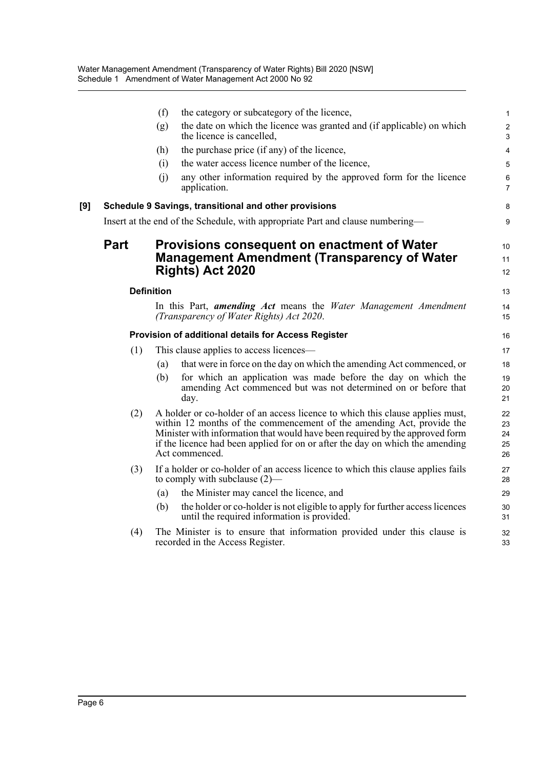|     |      | (f)               | the category or subcategory of the licence,                                                                                                                                                                                                                                                                                               | $\mathbf{1}$                                |
|-----|------|-------------------|-------------------------------------------------------------------------------------------------------------------------------------------------------------------------------------------------------------------------------------------------------------------------------------------------------------------------------------------|---------------------------------------------|
|     |      | (g)               | the date on which the licence was granted and (if applicable) on which<br>the licence is cancelled,                                                                                                                                                                                                                                       | $\overline{2}$<br>$\ensuremath{\mathsf{3}}$ |
|     |      | (h)               | the purchase price (if any) of the licence,                                                                                                                                                                                                                                                                                               | $\overline{4}$                              |
|     |      | (i)               | the water access licence number of the licence,                                                                                                                                                                                                                                                                                           | 5                                           |
|     |      | (i)               | any other information required by the approved form for the licence<br>application.                                                                                                                                                                                                                                                       | $\,6\,$<br>$\overline{7}$                   |
| [9] |      |                   | Schedule 9 Savings, transitional and other provisions                                                                                                                                                                                                                                                                                     | 8                                           |
|     |      |                   | Insert at the end of the Schedule, with appropriate Part and clause numbering—                                                                                                                                                                                                                                                            | 9                                           |
|     | Part |                   | Provisions consequent on enactment of Water<br><b>Management Amendment (Transparency of Water</b><br>Rights) Act 2020                                                                                                                                                                                                                     | 10<br>11<br>12                              |
|     |      | <b>Definition</b> |                                                                                                                                                                                                                                                                                                                                           | 13                                          |
|     |      |                   | In this Part, <b>amending Act</b> means the Water Management Amendment<br>(Transparency of Water Rights) Act 2020.                                                                                                                                                                                                                        | 14<br>15                                    |
|     |      |                   | Provision of additional details for Access Register                                                                                                                                                                                                                                                                                       | 16                                          |
|     | (1)  |                   | This clause applies to access licences—                                                                                                                                                                                                                                                                                                   | 17                                          |
|     |      | (a)               | that were in force on the day on which the amending Act commenced, or                                                                                                                                                                                                                                                                     | 18                                          |
|     |      | (b)               | for which an application was made before the day on which the<br>amending Act commenced but was not determined on or before that<br>day.                                                                                                                                                                                                  | 19<br>20<br>21                              |
|     | (2)  |                   | A holder or co-holder of an access licence to which this clause applies must,<br>within 12 months of the commencement of the amending Act, provide the<br>Minister with information that would have been required by the approved form<br>if the licence had been applied for on or after the day on which the amending<br>Act commenced. | 22<br>23<br>24<br>25<br>26                  |
|     | (3)  |                   | If a holder or co-holder of an access licence to which this clause applies fails<br>to comply with subclause $(2)$ —                                                                                                                                                                                                                      | 27<br>28                                    |
|     |      | (a)               | the Minister may cancel the licence, and                                                                                                                                                                                                                                                                                                  | 29                                          |
|     |      | (b)               | the holder or co-holder is not eligible to apply for further access licences<br>until the required information is provided.                                                                                                                                                                                                               | 30<br>31                                    |
|     | (4)  |                   | The Minister is to ensure that information provided under this clause is<br>recorded in the Access Register.                                                                                                                                                                                                                              | 32<br>33                                    |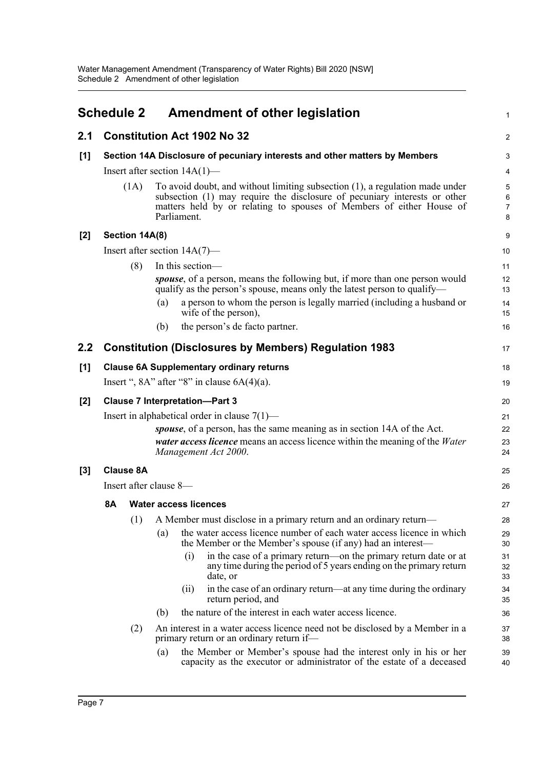<span id="page-6-0"></span>

|                  | <b>Schedule 2</b> |                  | <b>Amendment of other legislation</b>                                                                                                                                                                                                            | 1                                   |
|------------------|-------------------|------------------|--------------------------------------------------------------------------------------------------------------------------------------------------------------------------------------------------------------------------------------------------|-------------------------------------|
| 2.1              |                   |                  | <b>Constitution Act 1902 No 32</b>                                                                                                                                                                                                               | $\overline{c}$                      |
| $[1]$            |                   |                  | Section 14A Disclosure of pecuniary interests and other matters by Members                                                                                                                                                                       | 3                                   |
|                  |                   |                  | Insert after section $14A(1)$ —                                                                                                                                                                                                                  | 4                                   |
|                  |                   | (1A)             | To avoid doubt, and without limiting subsection (1), a regulation made under<br>subsection (1) may require the disclosure of pecuniary interests or other<br>matters held by or relating to spouses of Members of either House of<br>Parliament. | 5<br>$\,6\,$<br>$\overline{7}$<br>8 |
| $[2]$            |                   | Section 14A(8)   |                                                                                                                                                                                                                                                  | 9                                   |
|                  |                   |                  | Insert after section $14A(7)$ —                                                                                                                                                                                                                  | 10                                  |
|                  |                   | (8)              | In this section-                                                                                                                                                                                                                                 | 11                                  |
|                  |                   |                  | <i>spouse</i> , of a person, means the following but, if more than one person would<br>qualify as the person's spouse, means only the latest person to qualify—                                                                                  | 12<br>13                            |
|                  |                   |                  | a person to whom the person is legally married (including a husband or<br>(a)<br>wife of the person),                                                                                                                                            | 14<br>15                            |
|                  |                   |                  | the person's de facto partner.<br>(b)                                                                                                                                                                                                            | 16                                  |
| $2.2\phantom{0}$ |                   |                  | <b>Constitution (Disclosures by Members) Regulation 1983</b>                                                                                                                                                                                     | 17                                  |
| [1]              |                   |                  | <b>Clause 6A Supplementary ordinary returns</b>                                                                                                                                                                                                  | 18                                  |
|                  |                   |                  | Insert ", $8A$ " after " $8$ " in clause $6A(4)(a)$ .                                                                                                                                                                                            | 19                                  |
| $[2]$            |                   |                  | <b>Clause 7 Interpretation-Part 3</b>                                                                                                                                                                                                            | 20                                  |
|                  |                   |                  | Insert in alphabetical order in clause $7(1)$ —                                                                                                                                                                                                  | 21                                  |
|                  |                   |                  | spouse, of a person, has the same meaning as in section 14A of the Act.<br><i>water access licence</i> means an access licence within the meaning of the <i>Water</i><br>Management Act 2000.                                                    | 22<br>23<br>24                      |
| $[3]$            |                   | <b>Clause 8A</b> |                                                                                                                                                                                                                                                  | 25                                  |
|                  |                   |                  | Insert after clause 8-                                                                                                                                                                                                                           | 26                                  |
|                  | <b>8A</b>         |                  | <b>Water access licences</b>                                                                                                                                                                                                                     | 27                                  |
|                  |                   | (1)              | A Member must disclose in a primary return and an ordinary return-                                                                                                                                                                               | 28                                  |
|                  |                   |                  | the water access licence number of each water access licence in which<br>(a)<br>the Member or the Member's spouse (if any) had an interest-                                                                                                      | 29<br>30                            |
|                  |                   |                  | in the case of a primary return—on the primary return date or at<br>(i)<br>any time during the period of 5 years ending on the primary return<br>date, or                                                                                        | 31<br>32<br>33                      |
|                  |                   |                  | in the case of an ordinary return—at any time during the ordinary<br>(11)<br>return period, and                                                                                                                                                  | 34<br>35                            |
|                  |                   |                  | the nature of the interest in each water access licence.<br>(b)                                                                                                                                                                                  | 36                                  |
|                  |                   | (2)              | An interest in a water access licence need not be disclosed by a Member in a<br>primary return or an ordinary return if-                                                                                                                         | 37<br>38                            |
|                  |                   |                  | the Member or Member's spouse had the interest only in his or her<br>(a)<br>capacity as the executor or administrator of the estate of a deceased                                                                                                | 39<br>40                            |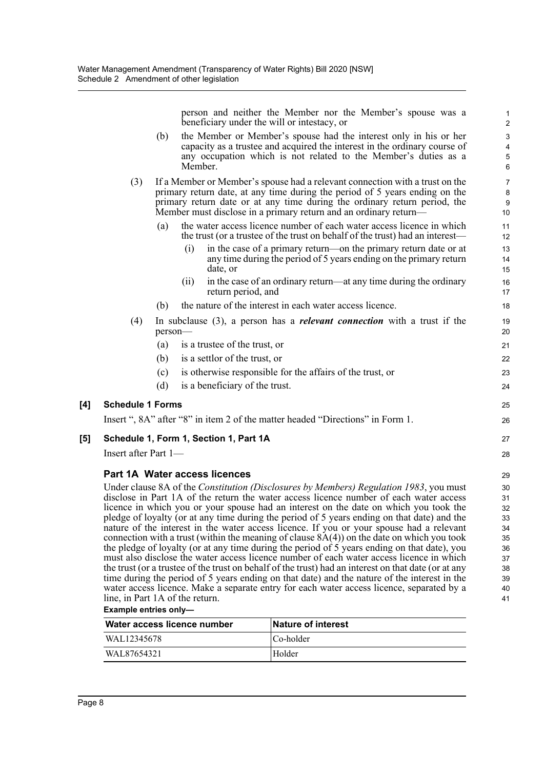person and neither the Member nor the Member's spouse was a beneficiary under the will or intestacy, or

- (b) the Member or Member's spouse had the interest only in his or her capacity as a trustee and acquired the interest in the ordinary course of any occupation which is not related to the Member's duties as a Member.
- (3) If a Member or Member's spouse had a relevant connection with a trust on the primary return date, at any time during the period of 5 years ending on the primary return date or at any time during the ordinary return period, the Member must disclose in a primary return and an ordinary return—
	- (a) the water access licence number of each water access licence in which the trust (or a trustee of the trust on behalf of the trust) had an interest—
		- (i) in the case of a primary return—on the primary return date or at any time during the period of 5 years ending on the primary return date, or
		- (ii) in the case of an ordinary return—at any time during the ordinary return period, and
	- (b) the nature of the interest in each water access licence.
- (4) In subclause (3), a person has a *relevant connection* with a trust if the person—
	- (a) is a trustee of the trust, or
	- (b) is a settlor of the trust, or
	- (c) is otherwise responsible for the affairs of the trust, or
	- (d) is a beneficiary of the trust.

#### **[4] Schedule 1 Forms**

Insert ", 8A" after "8" in item 2 of the matter headed "Directions" in Form 1.

#### **[5] Schedule 1, Form 1, Section 1, Part 1A**

Insert after Part 1—

#### **Part 1A Water access licences**

Under clause 8A of the *Constitution (Disclosures by Members) Regulation 1983*, you must disclose in Part 1A of the return the water access licence number of each water access licence in which you or your spouse had an interest on the date on which you took the pledge of loyalty (or at any time during the period of 5 years ending on that date) and the nature of the interest in the water access licence. If you or your spouse had a relevant connection with a trust (within the meaning of clause  $8A(4)$ ) on the date on which you took the pledge of loyalty (or at any time during the period of 5 years ending on that date), you must also disclose the water access licence number of each water access licence in which the trust (or a trustee of the trust on behalf of the trust) had an interest on that date (or at any time during the period of 5 years ending on that date) and the nature of the interest in the water access licence. Make a separate entry for each water access licence, separated by a line, in Part 1A of the return.

#### **Example entries only—**

| Water access licence number | <b>Nature of interest</b> |
|-----------------------------|---------------------------|
| WAL12345678                 | Co-holder                 |
| WAL87654321                 | Holder                    |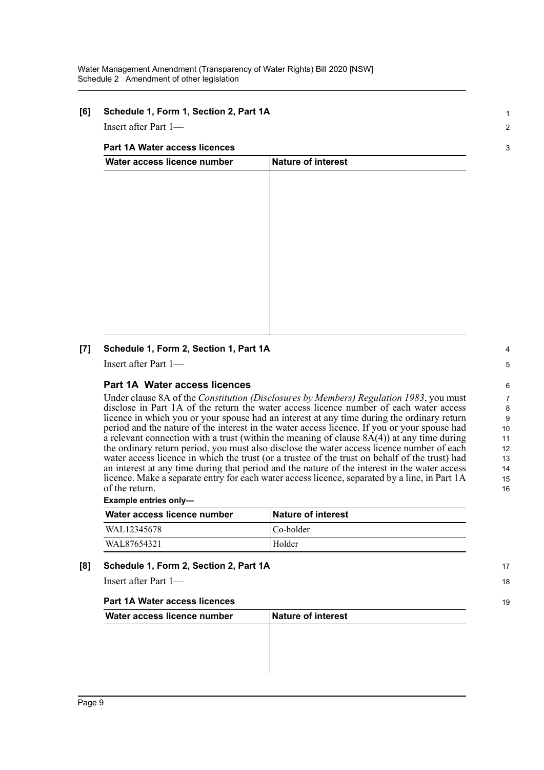#### **[6] Schedule 1, Form 1, Section 2, Part 1A**

Insert after Part 1—

#### **Part 1A Water access licences**

| Water access licence number | Nature of interest |  |
|-----------------------------|--------------------|--|
|                             |                    |  |
|                             |                    |  |
|                             |                    |  |
|                             |                    |  |
|                             |                    |  |
|                             |                    |  |
|                             |                    |  |
|                             |                    |  |
|                             |                    |  |
|                             |                    |  |
|                             |                    |  |
|                             |                    |  |

#### **[7] Schedule 1, Form 2, Section 1, Part 1A**

Insert after Part 1—

#### **Part 1A Water access licences**

Under clause 8A of the *Constitution (Disclosures by Members) Regulation 1983*, you must disclose in Part 1A of the return the water access licence number of each water access licence in which you or your spouse had an interest at any time during the ordinary return period and the nature of the interest in the water access licence. If you or your spouse had a relevant connection with a trust (within the meaning of clause  $8A(4)$ ) at any time during the ordinary return period, you must also disclose the water access licence number of each water access licence in which the trust (or a trustee of the trust on behalf of the trust) had an interest at any time during that period and the nature of the interest in the water access licence. Make a separate entry for each water access licence, separated by a line, in Part 1A of the return.

#### **Example entries only—**

| Water access licence number | <b>Nature of interest</b> |
|-----------------------------|---------------------------|
| WAL12345678                 | Co-holder                 |
| WAL87654321                 | Holder                    |

#### **[8] Schedule 1, Form 2, Section 2, Part 1A**

Insert after Part 1—

#### **Part 1A Water access licences**

| Nature of interest |  |
|--------------------|--|
|                    |  |
|                    |  |
|                    |  |
|                    |  |
|                    |  |

1  $\overline{2}$ 

3

15 16

17 18

19

8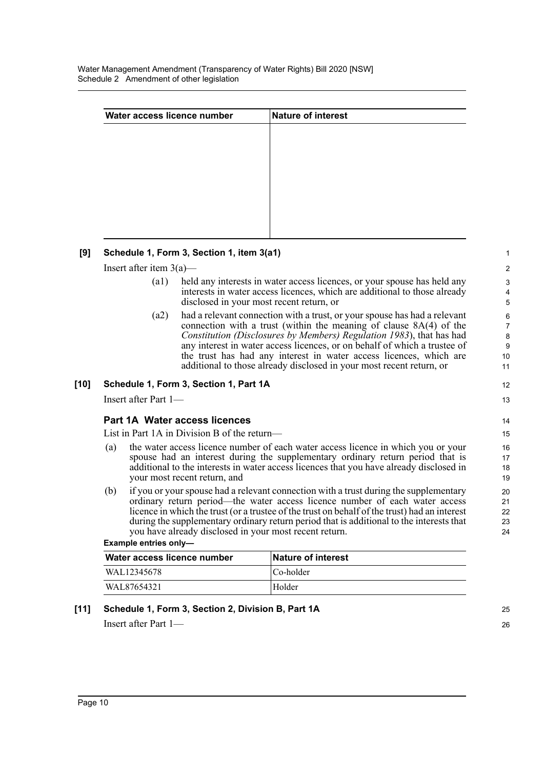Water Management Amendment (Transparency of Water Rights) Bill 2020 [NSW] Schedule 2 Amendment of other legislation

| Nature of interest |  |
|--------------------|--|
|                    |  |
|                    |  |
|                    |  |
|                    |  |
|                    |  |
|                    |  |
|                    |  |
|                    |  |

#### **[9] Schedule 1, Form 3, Section 1, item 3(a1)**

Insert after item 3(a)—

- (a1) held any interests in water access licences, or your spouse has held any interests in water access licences, which are additional to those already disclosed in your most recent return, or
- (a2) had a relevant connection with a trust, or your spouse has had a relevant connection with a trust (within the meaning of clause 8A(4) of the *Constitution (Disclosures by Members) Regulation 1983*), that has had any interest in water access licences, or on behalf of which a trustee of the trust has had any interest in water access licences, which are additional to those already disclosed in your most recent return, or

#### **[10] Schedule 1, Form 3, Section 1, Part 1A**

Insert after Part 1—

#### **Part 1A Water access licences**

List in Part 1A in Division B of the return—

- (a) the water access licence number of each water access licence in which you or your spouse had an interest during the supplementary ordinary return period that is additional to the interests in water access licences that you have already disclosed in your most recent return, and
- (b) if you or your spouse had a relevant connection with a trust during the supplementary ordinary return period—the water access licence number of each water access licence in which the trust (or a trustee of the trust on behalf of the trust) had an interest during the supplementary ordinary return period that is additional to the interests that you have already disclosed in your most recent return.

| Example entries only- |  |  |
|-----------------------|--|--|
|-----------------------|--|--|

| Water access licence number | <b>Nature of interest</b> |
|-----------------------------|---------------------------|
| WAL12345678                 | Co-holder                 |
| WAL87654321                 | Holder                    |

#### **[11] Schedule 1, Form 3, Section 2, Division B, Part 1A**

Insert after Part 1—

25 26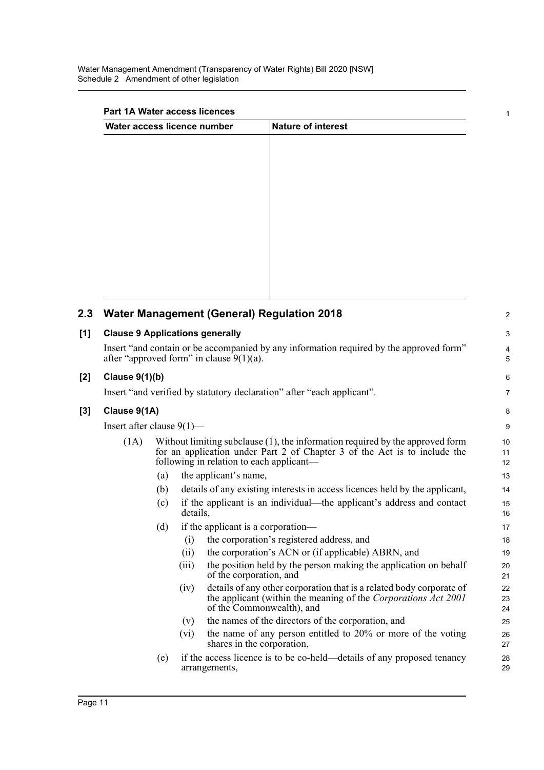### **Part 1A Water access licences**

| Water access licence number | Nature of interest |  |  |
|-----------------------------|--------------------|--|--|
|                             |                    |  |  |
|                             |                    |  |  |
|                             |                    |  |  |
|                             |                    |  |  |
|                             |                    |  |  |
|                             |                    |  |  |
|                             |                    |  |  |
|                             |                    |  |  |
|                             |                    |  |  |
|                             |                    |  |  |
|                             |                    |  |  |

1

|                                                                                                                                                               | $\overline{2}$  |  |
|---------------------------------------------------------------------------------------------------------------------------------------------------------------|-----------------|--|
| <b>Clause 9 Applications generally</b>                                                                                                                        |                 |  |
| Insert "and contain or be accompanied by any information required by the approved form"<br>after "approved form" in clause $9(1)(a)$ .                        |                 |  |
|                                                                                                                                                               | $6\phantom{1}6$ |  |
| Insert "and verified by statutory declaration" after "each applicant".                                                                                        | $\overline{7}$  |  |
|                                                                                                                                                               | 8               |  |
|                                                                                                                                                               | 9               |  |
| Without limiting subclause $(1)$ , the information required by the approved form<br>for an application under Part 2 of Chapter 3 of the Act is to include the | 10<br>11<br>12  |  |
|                                                                                                                                                               | 13              |  |
| details of any existing interests in access licences held by the applicant,                                                                                   | 14              |  |
| if the applicant is an individual—the applicant's address and contact                                                                                         | 15<br>16        |  |
|                                                                                                                                                               | 17              |  |
| the corporation's registered address, and                                                                                                                     | 18              |  |
| the corporation's ACN or (if applicable) ABRN, and                                                                                                            | 19              |  |
| the position held by the person making the application on behalf                                                                                              | 20<br>21        |  |
| details of any other corporation that is a related body corporate of<br>the applicant (within the meaning of the Corporations Act 2001                        | 22<br>23<br>24  |  |
| the names of the directors of the corporation, and                                                                                                            | 25              |  |
| the name of any person entitled to 20% or more of the voting                                                                                                  | 26<br>27        |  |
| if the access licence is to be co-held—details of any proposed tenancy                                                                                        | 28<br>29        |  |
|                                                                                                                                                               |                 |  |